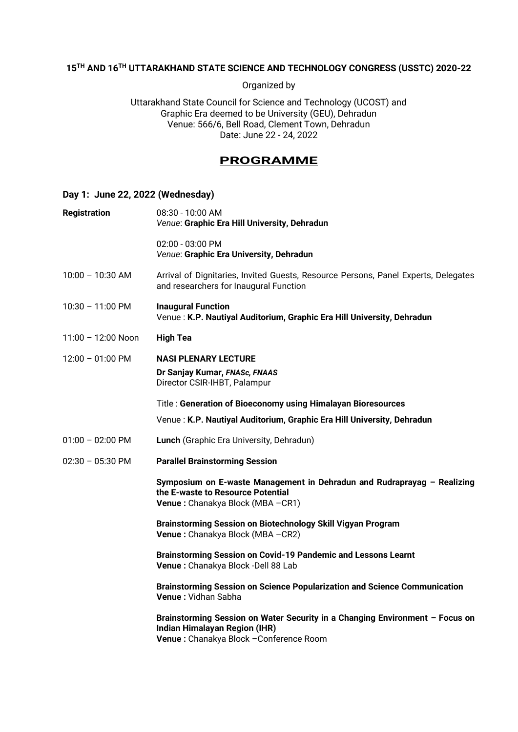# **15TH AND 16TH UTTARAKHAND STATE SCIENCE AND TECHNOLOGY CONGRESS (USSTC) 2020-22**

Organized by

Uttarakhand State Council for Science and Technology (UCOST) and Graphic Era deemed to be University (GEU), Dehradun Venue: 566/6, Bell Road, Clement Town, Dehradun Date: June 22 - 24, 2022

# **PROGRAMME**

### **Day 1: June 22, 2022 (Wednesday)**

| <b>Registration</b>        | 08:30 - 10:00 AM<br>Venue: Graphic Era Hill University, Dehradun                                                                                          |  |
|----------------------------|-----------------------------------------------------------------------------------------------------------------------------------------------------------|--|
|                            | 02:00 - 03:00 PM<br>Venue: Graphic Era University, Dehradun                                                                                               |  |
| $10:00 - 10:30$ AM         | Arrival of Dignitaries, Invited Guests, Resource Persons, Panel Experts, Delegates<br>and researchers for Inaugural Function                              |  |
| $10:30 - 11:00 \text{ PM}$ | <b>Inaugural Function</b><br>Venue: K.P. Nautiyal Auditorium, Graphic Era Hill University, Dehradun                                                       |  |
| $11:00 - 12:00$ Noon       | <b>High Tea</b>                                                                                                                                           |  |
| $12:00 - 01:00 \text{ PM}$ | <b>NASI PLENARY LECTURE</b><br>Dr Sanjay Kumar, FNASc, FNAAS<br>Director CSIR-IHBT, Palampur                                                              |  |
|                            | Title: Generation of Bioeconomy using Himalayan Bioresources                                                                                              |  |
|                            | Venue: K.P. Nautiyal Auditorium, Graphic Era Hill University, Dehradun                                                                                    |  |
| $01:00 - 02:00 \text{ PM}$ | Lunch (Graphic Era University, Dehradun)                                                                                                                  |  |
| $02:30 - 05:30 \text{ PM}$ | <b>Parallel Brainstorming Session</b>                                                                                                                     |  |
|                            | Symposium on E-waste Management in Dehradun and Rudraprayag - Realizing<br>the E-waste to Resource Potential<br>Venue: Chanakya Block (MBA - CR1)         |  |
|                            | Brainstorming Session on Biotechnology Skill Vigyan Program<br>Venue: Chanakya Block (MBA - CR2)                                                          |  |
|                            | Brainstorming Session on Covid-19 Pandemic and Lessons Learnt<br>Venue: Chanakya Block -Dell 88 Lab                                                       |  |
|                            | <b>Brainstorming Session on Science Popularization and Science Communication</b><br>Venue: Vidhan Sabha                                                   |  |
|                            | Brainstorming Session on Water Security in a Changing Environment - Focus on<br>Indian Himalayan Region (IHR)<br>Venue : Chanakya Block - Conference Room |  |